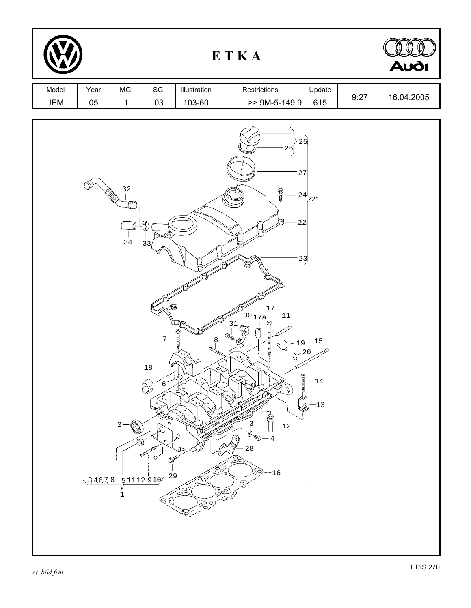|              |            |                                                                              |                                                                                                                     |                                                                                                        | ETKA                                                                                                                                                                                                                                                                                                                                                                                    |                            |      | <b>Audi</b> |
|--------------|------------|------------------------------------------------------------------------------|---------------------------------------------------------------------------------------------------------------------|--------------------------------------------------------------------------------------------------------|-----------------------------------------------------------------------------------------------------------------------------------------------------------------------------------------------------------------------------------------------------------------------------------------------------------------------------------------------------------------------------------------|----------------------------|------|-------------|
| Model<br>JEM | Year<br>05 | MG:<br>$\mathbf 1$                                                           | SG:<br>03                                                                                                           | Illustration<br>103-60                                                                                 | Restrictions<br>$>>$ 9M-5-149 9                                                                                                                                                                                                                                                                                                                                                         | Update<br>615              | 9:27 | 16.04.2005  |
|              |            | $3\,2$<br>$\eta_{\rm D}$<br>$3\,4$<br>$2 -$<br>6,<br>$34678$ $51112910$<br>1 | 33<br>$\sqrt{ }$<br>$\frac{18}{1}$<br>$6 \overline{6}$<br>L<br>ℒ<br><b>POD</b><br>$\circ$<br><b>OP</b><br>29<br>ÉS. | 8<br>৩<br>$c$ )<br>ے<br>$\mathord{\subset_{\text{\sf C}}}$<br>U<br>$\frac{1}{2}$<br>250/<br><b>DOO</b> | 25<br>26<br>27<br><b>COLLEGE</b><br>$-24\langle$<br>22<br>23<br>17<br>$\left[3017a_6\right]$<br>$11\,$<br>31<br>Ҿ<br>ದ್ರಾ<br>тининин<br>$-19$<br>$0^{-20}$<br>$\mathcal{O}_\mathrm{c}$<br>D<br>يون<br>مراجع<br><b>CLIMI</b><br>$\mathcal{L}$<br>$\sim$<br>12<br>O,<br>$-4$<br>Q<br>$2\,8$<br>$\hat{\mathbb{S}}$<br>$\frac{\partial}{\partial\mathcal{L}}\mathcal{L}$<br>8<br>$-16$<br>Z | 21<br>15<br>$-14$<br>$-13$ |      |             |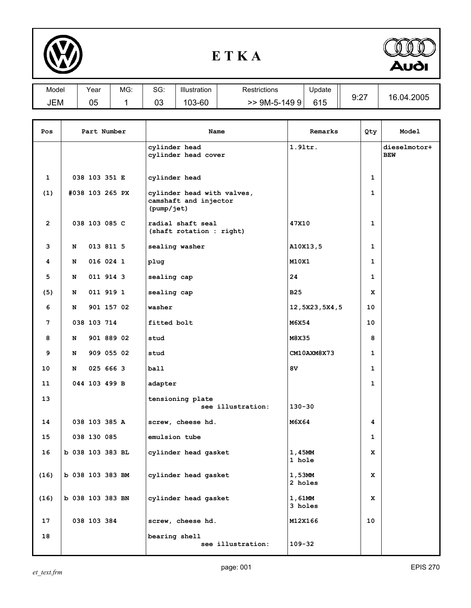

## **E T K A**



| Model | Year     | MG: | $\sim$<br>טכ. | Illustration | Restrictions | Update |              |                 |
|-------|----------|-----|---------------|--------------|--------------|--------|--------------|-----------------|
| JEM   | በፍ<br>uu |     | ∩∩<br>vu      | 103-60       | 9M-5-1499    | 615    | 0.27<br>. ے. | .04.2005<br>16. |

| Pos            | Part Number      |               | Name                                 | Remarks                                                           | Qty                      | Model                      |  |
|----------------|------------------|---------------|--------------------------------------|-------------------------------------------------------------------|--------------------------|----------------------------|--|
|                |                  |               | cylinder head<br>cylinder head cover | $1.91$ tr.                                                        |                          | dieselmotor+<br><b>BEW</b> |  |
| $\mathbf{1}$   |                  | 038 103 351 E |                                      | cylinder head                                                     |                          | 1                          |  |
| (1)            | #038 103 265 PX  |               |                                      | cylinder head with valves,<br>camshaft and injector<br>(pump/jet) |                          | $\mathbf{1}$               |  |
| $\overline{2}$ |                  | 038 103 085 C |                                      | radial shaft seal<br>(shaft rotation : right)                     | 47X10                    | $\mathbf{1}$               |  |
| 3              | N                |               | 013 811 5                            | sealing washer                                                    | A10X13,5                 | $\mathbf{1}$               |  |
| 4              | N                |               | 016 024 1                            | plug                                                              | M10X1                    | $\mathbf{1}$               |  |
| 5              | N                |               | 011 914 3                            | sealing cap                                                       | 24                       | $\mathbf{1}$               |  |
| (5)            | N                |               | 011 919 1                            | sealing cap                                                       | <b>B25</b>               | x                          |  |
| 6              | N                |               | 901 157 02                           | washer                                                            | 12,5X23,5X4,5            | 10                         |  |
| 7              |                  | 038 103 714   |                                      | fitted bolt                                                       | M6X54                    | 10                         |  |
| 8              | N                |               | 901 889 02                           | stud                                                              | M8X35                    | 8                          |  |
| 9              | N                |               | 909 055 02                           | stud                                                              | CM10AXM8X73              | 1                          |  |
| 10             | N                |               | 025 666 3                            | ball                                                              | 8V                       | 1                          |  |
| 11             |                  | 044 103 499 B |                                      | adapter                                                           |                          | $\mathbf{1}$               |  |
| 13             |                  |               |                                      | tensioning plate<br>see illustration:                             | $130 - 30$               |                            |  |
| 14             |                  | 038 103 385 A |                                      | screw, cheese hd.                                                 | M6X64                    | 4                          |  |
| 15             |                  | 038 130 085   |                                      | emulsion tube                                                     |                          | $\mathbf{1}$               |  |
| 16             | b 038 103 383 BL |               |                                      | cylinder head gasket                                              | 1,45MM<br>1 hole         | x                          |  |
| (16)           | b 038 103 383 BM |               |                                      | cylinder head gasket                                              | 1,53MM<br>2 holes        | x                          |  |
| (16)           | b 038 103 383 BN |               |                                      | cylinder head gasket                                              | 1,61MM<br><b>3 holes</b> | x                          |  |
| 17             |                  | 038 103 384   |                                      | screw, cheese hd.                                                 | M12X166                  | 10                         |  |
| 18             |                  |               |                                      | bearing shell<br>see illustration:                                | $109 - 32$               |                            |  |